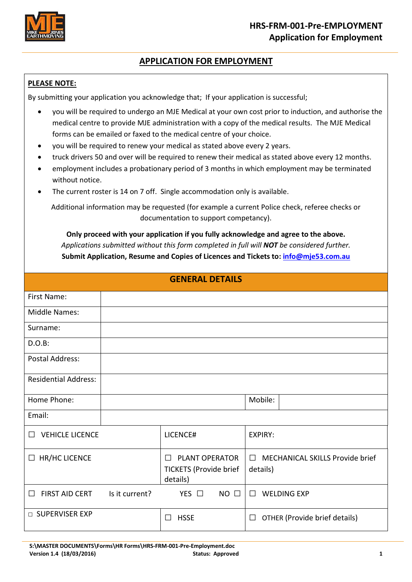

# **APPLICATION FOR EMPLOYMENT**

### **PLEASE NOTE:**

By submitting your application you acknowledge that; If your application is successful;

- you will be required to undergo an MJE Medical at your own cost prior to induction, and authorise the medical centre to provide MJE administration with a copy of the medical results. The MJE Medical forms can be emailed or faxed to the medical centre of your choice.
- you will be required to renew your medical as stated above every 2 years.
- truck drivers 50 and over will be required to renew their medical as stated above every 12 months.
- employment includes a probationary period of 3 months in which employment may be terminated without notice.
- The current roster is 14 on 7 off. Single accommodation only is available.

Additional information may be requested (for example a current Police check, referee checks or documentation to support competancy).

**Only proceed with your application if you fully acknowledge and agree to the above.** *Applications submitted without this form completed in full will NOT be considered further.* **Submit Application, Resume and Copies of Licences and Tickets to[: info@mje53.com.au](mailto:info@mje53.com.au)**

| <b>GENERAL DETAILS</b>           |                |                                                                         |                                                       |  |  |  |
|----------------------------------|----------------|-------------------------------------------------------------------------|-------------------------------------------------------|--|--|--|
| First Name:                      |                |                                                                         |                                                       |  |  |  |
| <b>Middle Names:</b>             |                |                                                                         |                                                       |  |  |  |
| Surname:                         |                |                                                                         |                                                       |  |  |  |
| $D.O.B$ :                        |                |                                                                         |                                                       |  |  |  |
| <b>Postal Address:</b>           |                |                                                                         |                                                       |  |  |  |
| <b>Residential Address:</b>      |                |                                                                         |                                                       |  |  |  |
| Home Phone:                      |                |                                                                         | Mobile:                                               |  |  |  |
| Email:                           |                |                                                                         |                                                       |  |  |  |
| <b>VEHICLE LICENCE</b><br>$\Box$ |                | LICENCE#                                                                | <b>EXPIRY:</b>                                        |  |  |  |
| $\Box$ HR/HC LICENCE             |                | <b>PLANT OPERATOR</b><br>П<br><b>TICKETS (Provide brief</b><br>details) | MECHANICAL SKILLS Provide brief<br>$\Box$<br>details) |  |  |  |
| FIRST AID CERT<br>$\Box$         | Is it current? | YES $\Box$<br>$NO$ $\Box$                                               | <b>WELDING EXP</b><br>$\Box$                          |  |  |  |
| □ SUPERVISER EXP                 |                | <b>HSSE</b><br>$\perp$                                                  | OTHER (Provide brief details)<br>$\Box$               |  |  |  |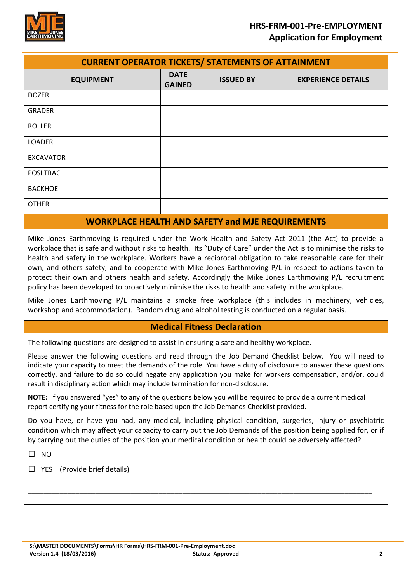

| <b>CURRENT OPERATOR TICKETS/ STATEMENTS OF ATTAINMENT</b> |                              |                  |                           |  |
|-----------------------------------------------------------|------------------------------|------------------|---------------------------|--|
| <b>EQUIPMENT</b>                                          | <b>DATE</b><br><b>GAINED</b> | <b>ISSUED BY</b> | <b>EXPERIENCE DETAILS</b> |  |
| <b>DOZER</b>                                              |                              |                  |                           |  |
| <b>GRADER</b>                                             |                              |                  |                           |  |
| <b>ROLLER</b>                                             |                              |                  |                           |  |
| <b>LOADER</b>                                             |                              |                  |                           |  |
| <b>EXCAVATOR</b>                                          |                              |                  |                           |  |
| POSI TRAC                                                 |                              |                  |                           |  |
| <b>BACKHOE</b>                                            |                              |                  |                           |  |
| <b>OTHER</b>                                              |                              |                  |                           |  |
| <b>WORKPLACE HEALTH AND SAFETY and MJE REQUIREMENTS</b>   |                              |                  |                           |  |

Mike Jones Earthmoving is required under the Work Health and Safety Act 2011 (the Act) to provide a workplace that is safe and without risks to health. Its "Duty of Care" under the Act is to minimise the risks to health and safety in the workplace. Workers have a reciprocal obligation to take reasonable care for their own, and others safety, and to cooperate with Mike Jones Earthmoving P/L in respect to actions taken to protect their own and others health and safety. Accordingly the Mike Jones Earthmoving P/L recruitment policy has been developed to proactively minimise the risks to health and safety in the workplace.

Mike Jones Earthmoving P/L maintains a smoke free workplace (this includes in machinery, vehicles, workshop and accommodation). Random drug and alcohol testing is conducted on a regular basis.

## **Medical Fitness Declaration**

The following questions are designed to assist in ensuring a safe and healthy workplace.

Please answer the following questions and read through the Job Demand Checklist below. You will need to indicate your capacity to meet the demands of the role. You have a duty of disclosure to answer these questions correctly, and failure to do so could negate any application you make for workers compensation, and/or, could result in disciplinary action which may include termination for non-disclosure.

**NOTE:** If you answered "yes" to any of the questions below you will be required to provide a current medical report certifying your fitness for the role based upon the Job Demands Checklist provided.

Do you have, or have you had, any medical, including physical condition, surgeries, injury or psychiatric condition which may affect your capacity to carry out the Job Demands of the position being applied for, or if by carrying out the duties of the position your medical condition or health could be adversely affected?

\_\_\_\_\_\_\_\_\_\_\_\_\_\_\_\_\_\_\_\_\_\_\_\_\_\_\_\_\_\_\_\_\_\_\_\_\_\_\_\_\_\_\_\_\_\_\_\_\_\_\_\_\_\_\_\_\_\_\_\_\_\_\_\_\_\_\_\_\_\_\_\_\_\_\_\_\_\_\_\_\_\_\_\_\_\_\_

 $\Box$  NO

 $\Box$  YES (Provide brief details)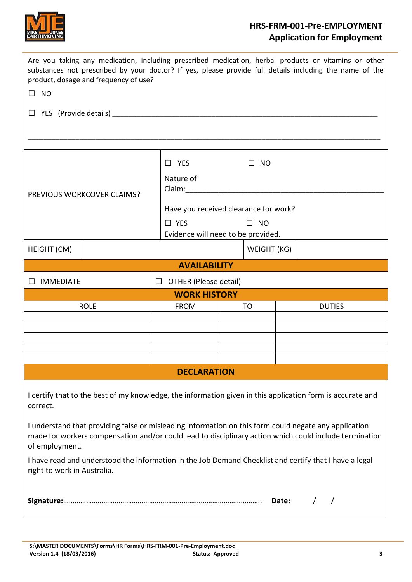

# **HRS-FRM-001-Pre-EMPLOYMENT Application for Employment**

| Are you taking any medication, including prescribed medication, herbal products or vitamins or other<br>substances not prescribed by your doctor? If yes, please provide full details including the name of the<br>product, dosage and frequency of use? |                     |                                       |  |               |  |  |
|----------------------------------------------------------------------------------------------------------------------------------------------------------------------------------------------------------------------------------------------------------|---------------------|---------------------------------------|--|---------------|--|--|
| $\square$ NO                                                                                                                                                                                                                                             |                     |                                       |  |               |  |  |
| Ш                                                                                                                                                                                                                                                        |                     |                                       |  |               |  |  |
|                                                                                                                                                                                                                                                          |                     |                                       |  |               |  |  |
|                                                                                                                                                                                                                                                          | $\Box$ YES          | $\Box$<br><b>NO</b>                   |  |               |  |  |
| PREVIOUS WORKCOVER CLAIMS?                                                                                                                                                                                                                               | Nature of<br>Claim: |                                       |  |               |  |  |
|                                                                                                                                                                                                                                                          |                     | Have you received clearance for work? |  |               |  |  |
|                                                                                                                                                                                                                                                          | $\Box$ YES          | $\Box$ NO                             |  |               |  |  |
|                                                                                                                                                                                                                                                          |                     | Evidence will need to be provided.    |  |               |  |  |
| HEIGHT (CM)                                                                                                                                                                                                                                              | WEIGHT (KG)         |                                       |  |               |  |  |
| <b>AVAILABILITY</b>                                                                                                                                                                                                                                      |                     |                                       |  |               |  |  |
| $\Box$ OTHER (Please detail)<br>IMMEDIATE                                                                                                                                                                                                                |                     |                                       |  |               |  |  |
| <b>WORK HISTORY</b>                                                                                                                                                                                                                                      |                     |                                       |  |               |  |  |
| <b>ROLE</b>                                                                                                                                                                                                                                              | <b>FROM</b>         | TO                                    |  | <b>DUTIES</b> |  |  |
|                                                                                                                                                                                                                                                          |                     |                                       |  |               |  |  |
|                                                                                                                                                                                                                                                          |                     |                                       |  |               |  |  |
|                                                                                                                                                                                                                                                          |                     |                                       |  |               |  |  |
|                                                                                                                                                                                                                                                          | <b>DECLARATION</b>  |                                       |  |               |  |  |
|                                                                                                                                                                                                                                                          |                     |                                       |  |               |  |  |
| I certify that to the best of my knowledge, the information given in this application form is accurate and<br>correct.                                                                                                                                   |                     |                                       |  |               |  |  |
| I understand that providing false or misleading information on this form could negate any application<br>made for workers compensation and/or could lead to disciplinary action which could include termination<br>of employment.                        |                     |                                       |  |               |  |  |
| I have read and understood the information in the Job Demand Checklist and certify that I have a legal<br>right to work in Australia.                                                                                                                    |                     |                                       |  |               |  |  |
|                                                                                                                                                                                                                                                          |                     |                                       |  |               |  |  |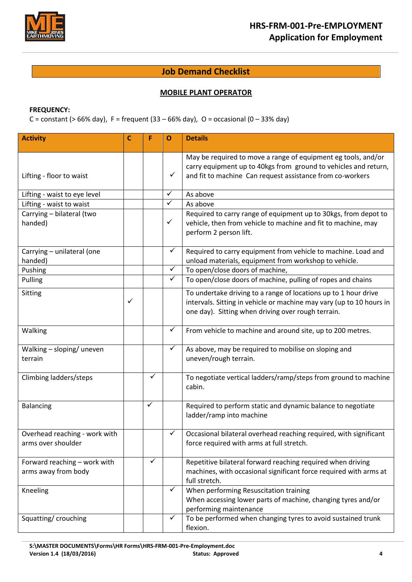

## **Job Demand Checklist**

### **MOBILE PLANT OPERATOR**

### **FREQUENCY:**

C = constant (> 66% day), F = frequent (33 – 66% day), O = occasional (0 – 33% day)

| <b>Activity</b>                                     | С            | F            | O            | <b>Details</b>                                                                                                                                                                                |
|-----------------------------------------------------|--------------|--------------|--------------|-----------------------------------------------------------------------------------------------------------------------------------------------------------------------------------------------|
| Lifting - floor to waist                            |              |              | $\checkmark$ | May be required to move a range of equipment eg tools, and/or<br>carry equipment up to 40kgs from ground to vehicles and return,<br>and fit to machine Can request assistance from co-workers |
| Lifting - waist to eye level                        |              |              | $\checkmark$ | As above                                                                                                                                                                                      |
| Lifting - waist to waist                            |              |              | $\checkmark$ | As above                                                                                                                                                                                      |
| Carrying - bilateral (two<br>handed)                |              |              | $\checkmark$ | Required to carry range of equipment up to 30kgs, from depot to<br>vehicle, then from vehicle to machine and fit to machine, may<br>perform 2 person lift.                                    |
| Carrying - unilateral (one<br>handed)               |              |              | $\checkmark$ | Required to carry equipment from vehicle to machine. Load and<br>unload materials, equipment from workshop to vehicle.                                                                        |
| Pushing                                             |              |              | $\checkmark$ | To open/close doors of machine,                                                                                                                                                               |
| Pulling                                             |              |              | $\checkmark$ | To open/close doors of machine, pulling of ropes and chains                                                                                                                                   |
| Sitting                                             | $\checkmark$ |              |              | To undertake driving to a range of locations up to 1 hour drive<br>intervals. Sitting in vehicle or machine may vary (up to 10 hours in<br>one day). Sitting when driving over rough terrain. |
| Walking                                             |              |              | $\checkmark$ | From vehicle to machine and around site, up to 200 metres.                                                                                                                                    |
| Walking - sloping/ uneven<br>terrain                |              |              | $\checkmark$ | As above, may be required to mobilise on sloping and<br>uneven/rough terrain.                                                                                                                 |
| Climbing ladders/steps                              |              | ✓            |              | To negotiate vertical ladders/ramp/steps from ground to machine<br>cabin.                                                                                                                     |
| <b>Balancing</b>                                    |              | $\checkmark$ |              | Required to perform static and dynamic balance to negotiate<br>ladder/ramp into machine                                                                                                       |
| Overhead reaching - work with<br>arms over shoulder |              |              | $\checkmark$ | Occasional bilateral overhead reaching required, with significant<br>force required with arms at full stretch.                                                                                |
| Forward reaching - work with<br>arms away from body |              | ✓            |              | Repetitive bilateral forward reaching required when driving<br>machines, with occasional significant force required with arms at<br>full stretch.                                             |
| Kneeling                                            |              |              | $\checkmark$ | When performing Resuscitation training<br>When accessing lower parts of machine, changing tyres and/or<br>performing maintenance                                                              |
| Squatting/crouching                                 |              |              | $\checkmark$ | To be performed when changing tyres to avoid sustained trunk<br>flexion.                                                                                                                      |